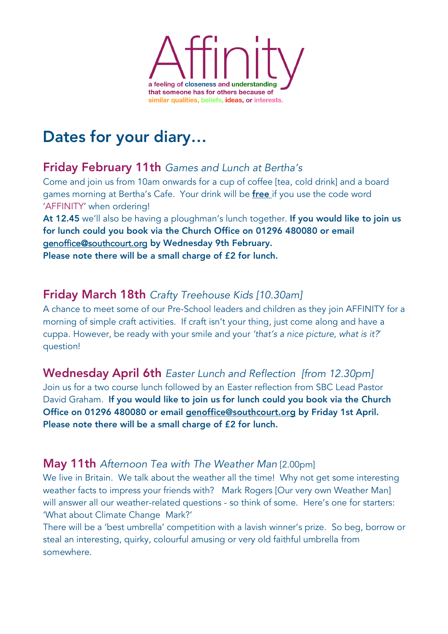

# Dates for your diary…

## Friday February 11th *Games and Lunch at Bertha's*

Come and join us from 10am onwards for a cup of coffee [tea, cold drink] and a board games morning at Bertha's Cafe. Your drink will be free if you use the code word 'AFFINITY' when ordering!

At 12.45 we'll also be having a ploughman's lunch together. If you would like to join us for lunch could you book via the Church Office on 01296 480080 or email genoffice@southcourt.org by Wednesday 9th February. Please note there will be a small charge of £2 for lunch.

## Friday March 18th *Crafty Treehouse Kids [10.30am]*

A chance to meet some of our Pre-School leaders and children as they join AFFINITY for a morning of simple craft activities. If craft isn't your thing, just come along and have a cuppa. However, be ready with your smile and your *'that's a nice picture, what is it?*' question!

## Wednesday April 6th *Easter Lunch and Reflection [from 12.30pm]*

Join us for a two course lunch followed by an Easter reflection from SBC Lead Pastor David Graham. If you would like to join us for lunch could you book via the Church Office on 01296 480080 or email genoffice@southcourt.org by Friday 1st April. Please note there will be a small charge of £2 for lunch.

#### May 11th *Afternoon Tea with The Weather Man* [2.00pm]

We live in Britain. We talk about the weather all the time! Why not get some interesting weather facts to impress your friends with? Mark Rogers [Our very own Weather Man] will answer all our weather-related questions - so think of some. Here's one for starters: 'What about Climate Change Mark?'

There will be a 'best umbrella' competition with a lavish winner's prize. So beg, borrow or steal an interesting, quirky, colourful amusing or very old faithful umbrella from somewhere.